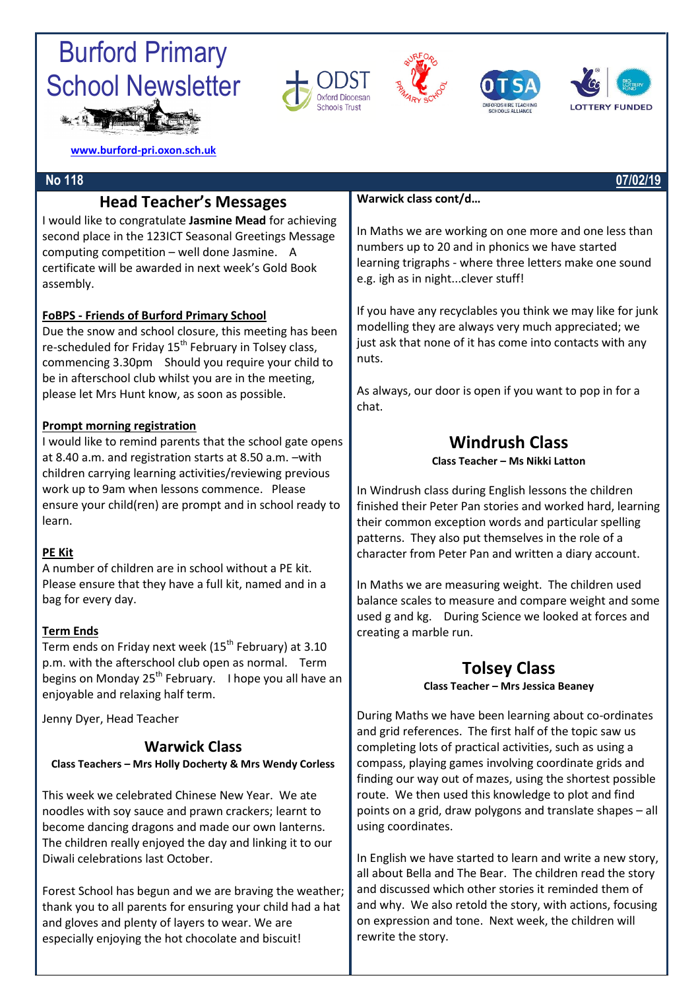# Burford Primary School Newsletter









**[www.burford-pri.oxon.sch.uk](http://www.burford-pri.oxon.sch.uk/)**

### **Head Teacher's Messages**

I would like to congratulate **Jasmine Mead** for achieving second place in the 123ICT Seasonal Greetings Message computing competition – well done Jasmine. A certificate will be awarded in next week's Gold Book assembly.

### **FoBPS - Friends of Burford Primary School**

Due the snow and school closure, this meeting has been re-scheduled for Friday  $15<sup>th</sup>$  February in Tolsey class, commencing 3.30pm Should you require your child to be in afterschool club whilst you are in the meeting, please let Mrs Hunt know, as soon as possible.

### **Prompt morning registration**

I would like to remind parents that the school gate opens at 8.40 a.m. and registration starts at 8.50 a.m. –with children carrying learning activities/reviewing previous work up to 9am when lessons commence. Please ensure your child(ren) are prompt and in school ready to learn.

### **PE Kit**

A number of children are in school without a PE kit. Please ensure that they have a full kit, named and in a bag for every day.

### **Term Ends**

Term ends on Friday next week ( $15<sup>th</sup>$  February) at 3.10 p.m. with the afterschool club open as normal. Term begins on Monday 25<sup>th</sup> February. I hope you all have an enjoyable and relaxing half term.

Jenny Dyer, Head Teacher

### **Warwick Class**

**Class Teachers – Mrs Holly Docherty & Mrs Wendy Corless**

This week we celebrated Chinese New Year. We ate noodles with soy sauce and prawn crackers; learnt to become dancing dragons and made our own lanterns. The children really enjoyed the day and linking it to our Diwali celebrations last October.

Forest School has begun and we are braving the weather; thank you to all parents for ensuring your child had a hat and gloves and plenty of layers to wear. We are especially enjoying the hot chocolate and biscuit!

### **Warwick class cont/d…**

In Maths we are working on one more and one less than numbers up to 20 and in phonics we have started learning trigraphs - where three letters make one sound e.g. igh as in night...clever stuff!

If you have any recyclables you think we may like for junk modelling they are always very much appreciated; we just ask that none of it has come into contacts with any nuts.

As always, our door is open if you want to pop in for a chat.

### **Windrush Class**

**Class Teacher – Ms Nikki Latton**

In Windrush class during English lessons the children finished their Peter Pan stories and worked hard, learning their common exception words and particular spelling patterns. They also put themselves in the role of a character from Peter Pan and written a diary account.

In Maths we are measuring weight. The children used balance scales to measure and compare weight and some used g and kg. During Science we looked at forces and creating a marble run.

### **Tolsey Class**

**Class Teacher – Mrs Jessica Beaney**

During Maths we have been learning about co-ordinates and grid references. The first half of the topic saw us completing lots of practical activities, such as using a compass, playing games involving coordinate grids and finding our way out of mazes, using the shortest possible route. We then used this knowledge to plot and find points on a grid, draw polygons and translate shapes – all using coordinates.

In English we have started to learn and write a new story, all about Bella and The Bear. The children read the story and discussed which other stories it reminded them of and why. We also retold the story, with actions, focusing on expression and tone. Next week, the children will rewrite the story.

#### **No 118 07/02/19**